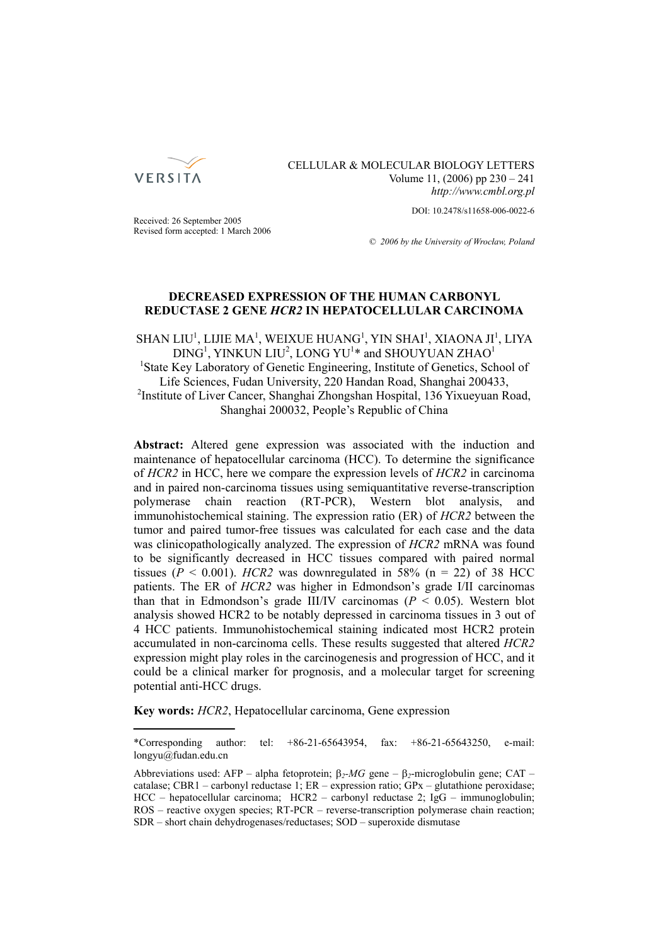

CELLULAR & MOLECULAR BIOLOGY LETTERS Volume 11, (2006) pp 230 – 241 *http://www.cmbl.org.pl*

DOI: 10.2478/s11658-006-0022-6

Received: 26 September 2005 Revised form accepted: 1 March 2006

*© 2006 by the University of Wrocław, Poland*

# **DECREASED EXPRESSION OF THE HUMAN CARBONYL REDUCTASE 2 GENE** *HCR2* **IN HEPATOCELLULAR CARCINOMA**

SHAN LIU<sup>1</sup>, LIJIE MA<sup>1</sup>, WEIXUE HUANG<sup>1</sup>, YIN SHAI<sup>1</sup>, XIAONA JI<sup>1</sup>, LIYA  $\rm DING^1, YINKUN~LU^2, ~LONG~YU^{1*}$  and  $\rm SHOUYUAN~ZHAO^{1*}$ <sup>1</sup>State Key Laboratory of Genetic Engineering, Institute of Genetics, School of Life Sciences, Fudan University, 220 Handan Road, Shanghai 200433, <sup>2</sup>Institute of Liver Cancer, Shanghai Zhongshan Hospital, 136 Yixueyuan Road, Shanghai 200032, People's Republic of China

**Abstract:** Altered gene expression was associated with the induction and maintenance of hepatocellular carcinoma (HCC). To determine the significance of *HCR2* in HCC, here we compare the expression levels of *HCR2* in carcinoma and in paired non-carcinoma tissues using semiquantitative reverse-transcription polymerase chain reaction (RT-PCR), Western blot analysis, and immunohistochemical staining. The expression ratio (ER) of *HCR2* between the tumor and paired tumor-free tissues was calculated for each case and the data was clinicopathologically analyzed. The expression of *HCR2* mRNA was found to be significantly decreased in HCC tissues compared with paired normal tissues ( $P < 0.001$ ). *HCR2* was downregulated in 58% ( $n = 22$ ) of 38 HCC patients. The ER of *HCR2* was higher in Edmondson's grade I/II carcinomas than that in Edmondson's grade III/IV carcinomas  $(P < 0.05)$ . Western blot analysis showed HCR2 to be notably depressed in carcinoma tissues in 3 out of 4 HCC patients. Immunohistochemical staining indicated most HCR2 protein accumulated in non-carcinoma cells. These results suggested that altered *HCR2* expression might play roles in the carcinogenesis and progression of HCC, and it could be a clinical marker for prognosis, and a molecular target for screening potential anti-HCC drugs.

**Key words:** *HCR2*, Hepatocellular carcinoma, Gene expression

<sup>\*</sup>Corresponding author: tel: +86-21-65643954, fax: +86-21-65643250, e-mail: longyu@fudan.edu.cn

Abbreviations used: AFP – alpha fetoprotein; β*2-MG* gene – β*2*-microglobulin gene; CAT – catalase; CBR1 – carbonyl reductase 1; ER – expression ratio; GPx – glutathione peroxidase; HCC – hepatocellular carcinoma; HCR2 – carbonyl reductase 2; IgG – immunoglobulin; ROS – reactive oxygen species; RT-PCR – reverse-transcription polymerase chain reaction; SDR – short chain dehydrogenases/reductases; SOD – superoxide dismutase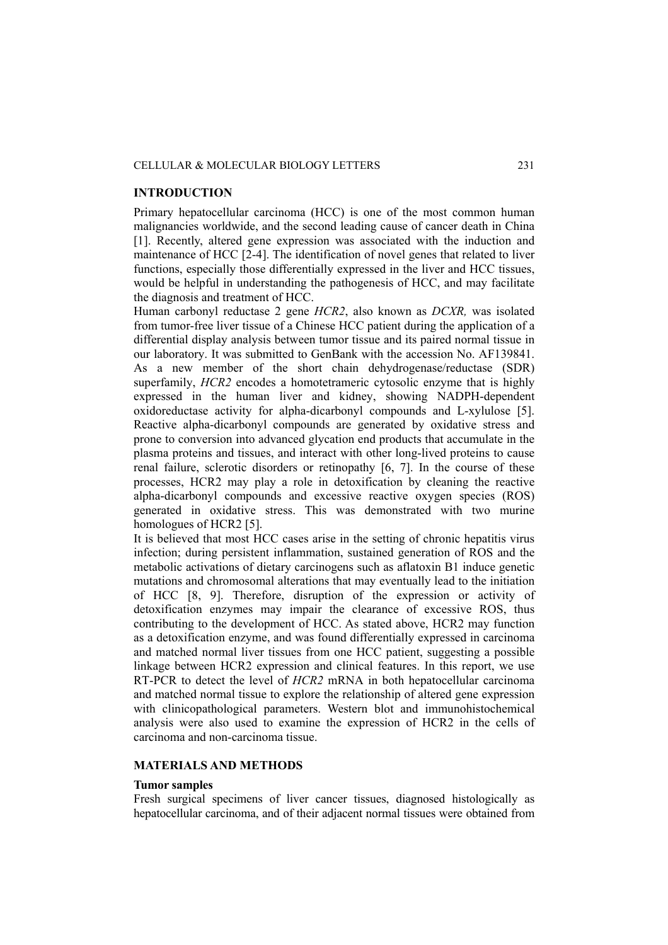#### CELLULAR & MOLECULAR BIOLOGY LETTERS 231

### **INTRODUCTION**

Primary hepatocellular carcinoma (HCC) is one of the most common human malignancies worldwide, and the second leading cause of cancer death in China [1]. Recently, altered gene expression was associated with the induction and maintenance of HCC [2-4]. The identification of novel genes that related to liver functions, especially those differentially expressed in the liver and HCC tissues, would be helpful in understanding the pathogenesis of HCC, and may facilitate the diagnosis and treatment of HCC.

Human carbonyl reductase 2 gene *HCR2*, also known as *DCXR,* was isolated from tumor-free liver tissue of a Chinese HCC patient during the application of a differential display analysis between tumor tissue and its paired normal tissue in our laboratory. It was submitted to GenBank with the accession No. AF139841. As a new member of the short chain dehydrogenase/reductase (SDR) superfamily, *HCR2* encodes a homotetrameric cytosolic enzyme that is highly expressed in the human liver and kidney, showing NADPH-dependent oxidoreductase activity for alpha-dicarbonyl compounds and L-xylulose [5]. Reactive alpha-dicarbonyl compounds are generated by oxidative stress and prone to conversion into advanced glycation end products that accumulate in the plasma proteins and tissues, and interact with other long-lived proteins to cause renal failure, sclerotic disorders or retinopathy [6, 7]. In the course of these processes, HCR2 may play a role in detoxification by cleaning the reactive alpha-dicarbonyl compounds and excessive reactive oxygen species (ROS) generated in oxidative stress. This was demonstrated with two murine homologues of HCR2 [5].

It is believed that most HCC cases arise in the setting of chronic hepatitis virus infection; during persistent inflammation, sustained generation of ROS and the metabolic activations of dietary carcinogens such as aflatoxin B1 induce genetic mutations and chromosomal alterations that may eventually lead to the initiation of HCC [8, 9]. Therefore, disruption of the expression or activity of detoxification enzymes may impair the clearance of excessive ROS, thus contributing to the development of HCC. As stated above, HCR2 may function as a detoxification enzyme, and was found differentially expressed in carcinoma and matched normal liver tissues from one HCC patient, suggesting a possible linkage between HCR2 expression and clinical features. In this report, we use RT-PCR to detect the level of *HCR2* mRNA in both hepatocellular carcinoma and matched normal tissue to explore the relationship of altered gene expression with clinicopathological parameters. Western blot and immunohistochemical analysis were also used to examine the expression of HCR2 in the cells of carcinoma and non-carcinoma tissue.

## **MATERIALS AND METHODS**

#### **Tumor samples**

Fresh surgical specimens of liver cancer tissues, diagnosed histologically as hepatocellular carcinoma, and of their adjacent normal tissues were obtained from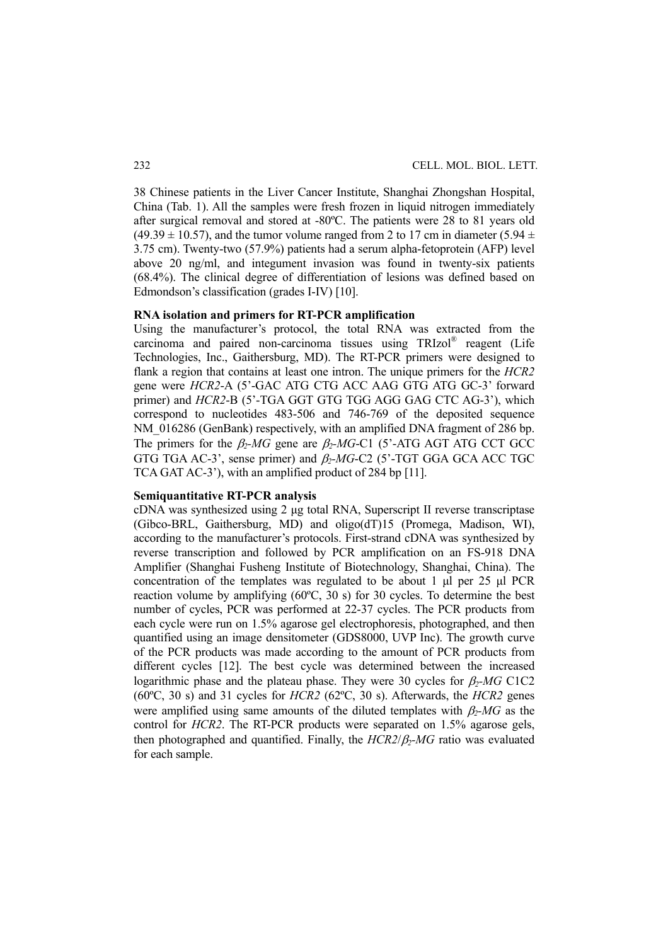38 Chinese patients in the Liver Cancer Institute, Shanghai Zhongshan Hospital, China (Tab. 1). All the samples were fresh frozen in liquid nitrogen immediately after surgical removal and stored at -80ºC. The patients were 28 to 81 years old  $(49.39 \pm 10.57)$ , and the tumor volume ranged from 2 to 17 cm in diameter (5.94  $\pm$ 3.75 cm). Twenty-two (57.9%) patients had a serum alpha-fetoprotein (AFP) level above 20 ng/ml, and integument invasion was found in twenty-six patients (68.4%). The clinical degree of differentiation of lesions was defined based on Edmondson's classification (grades I-IV) [10].

# **RNA isolation and primers for RT-PCR amplification**

Using the manufacturer's protocol, the total RNA was extracted from the carcinoma and paired non-carcinoma tissues using TRIzol® reagent (Life Technologies, Inc., Gaithersburg, MD). The RT-PCR primers were designed to flank a region that contains at least one intron. The unique primers for the *HCR2* gene were *HCR2*-A (5'-GAC ATG CTG ACC AAG GTG ATG GC-3' forward primer) and *HCR2*-B (5'-TGA GGT GTG TGG AGG GAG CTC AG-3'), which correspond to nucleotides 483-506 and 746-769 of the deposited sequence NM 016286 (GenBank) respectively, with an amplified DNA fragment of 286 bp. The primers for the  $\beta_2$ -MG gene are  $\beta_2$ -MG-C1 (5<sup>2</sup>-ATG AGT ATG CCT GCC GTG TGA AC-3', sense primer) and β*2-MG*-C2 (5'-TGT GGA GCA ACC TGC TCA GAT AC-3'), with an amplified product of 284 bp [11].

#### **Semiquantitative RT-PCR analysis**

cDNA was synthesized using 2 μg total RNA, Superscript II reverse transcriptase (Gibco-BRL, Gaithersburg, MD) and oligo(dT)15 (Promega, Madison, WI), according to the manufacturer's protocols. First-strand cDNA was synthesized by reverse transcription and followed by PCR amplification on an FS-918 DNA Amplifier (Shanghai Fusheng Institute of Biotechnology, Shanghai, China). The concentration of the templates was regulated to be about 1 μl per 25 μl PCR reaction volume by amplifying (60ºC, 30 s) for 30 cycles. To determine the best number of cycles, PCR was performed at 22-37 cycles. The PCR products from each cycle were run on 1.5% agarose gel electrophoresis, photographed, and then quantified using an image densitometer (GDS8000, UVP Inc). The growth curve of the PCR products was made according to the amount of PCR products from different cycles [12]. The best cycle was determined between the increased logarithmic phase and the plateau phase. They were 30 cycles for  $\beta_2$ -MG C1C2 (60ºC, 30 s) and 31 cycles for *HCR2* (62ºC, 30 s). Afterwards, the *HCR2* genes were amplified using same amounts of the diluted templates with  $\beta_2$ -MG as the control for *HCR2*. The RT-PCR products were separated on 1.5% agarose gels, then photographed and quantified. Finally, the *HCR2*/β*2-MG* ratio was evaluated for each sample.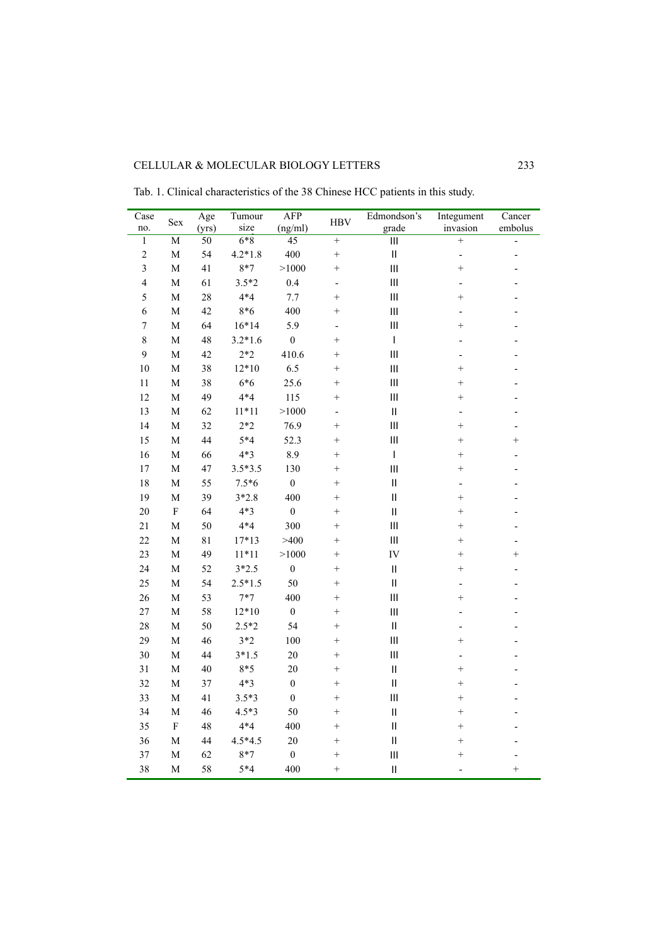| Case<br>no.    | Sex            | Age<br>(yrs)    | Tumour<br>size | <b>AFP</b><br>(ng/ml) | <b>HBV</b>               | Edmondson's<br>grade     | Integument<br>invasion   | Cancer<br>embolus |
|----------------|----------------|-----------------|----------------|-----------------------|--------------------------|--------------------------|--------------------------|-------------------|
| $\overline{1}$ | $\overline{M}$ | $\overline{50}$ | $6*8$          | $\overline{45}$       | $+$                      | $\overline{\mathbb{H}}$  | $+$                      | $\frac{1}{2}$     |
| $\overline{c}$ | $\mathbf M$    | 54              | $4.2*1.8$      | 400                   | $^{+}$                   | $\mathbf{I}$             | -                        |                   |
| 3              | $\mathbf M$    | 41              | $8*7$          | >1000                 | $^{+}$                   | $\mathbf{III}$           | $^{+}$                   |                   |
| $\overline{4}$ | $\mathbf M$    | 61              | $3.5*2$        | 0.4                   | -                        | $\mathbf{III}$           | ٠                        |                   |
| 5              | $\mathbf{M}$   | 28              | $4*4$          | 7.7                   | $\ddot{}$                | $\mathbf{III}$           | $^{+}$                   |                   |
| 6              | $\mathbf M$    | 42              | $8*6$          | 400                   | $\ddot{}$                | Ш                        | $\overline{a}$           |                   |
| $\overline{7}$ | $\mathbf M$    | 64              | $16*14$        | 5.9                   | $\overline{a}$           | $\mathbf{III}$           | $^{+}$                   |                   |
| 8              | $\mathbf M$    | 48              | $3.2*1.6$      | $\mathbf{0}$          | $^{+}$                   | $\overline{\phantom{a}}$ |                          |                   |
| 9              | $\mathbf M$    | 42              | $2*2$          | 410.6                 | $^{+}$                   | $\mathbf{III}$           | Ĭ.                       |                   |
| 10             | $\mathbf M$    | 38              | $12*10$        | 6.5                   | $^{+}$                   | Ш                        | $^{+}$                   |                   |
| 11             | $\mathbf M$    | 38              | $6*6$          | 25.6                  | $^{+}$                   | Ш                        | $^{+}$                   |                   |
| 12             | $\mathbf M$    | 49              | $4*4$          | 115                   | $^{+}$                   | $\mathbf{III}$           | $^{+}$                   |                   |
| 13             | $\mathbf M$    | 62              | $11*11$        | >1000                 | $\overline{\phantom{0}}$ | $\mathsf{II}$            | $\overline{a}$           |                   |
| 14             | $\mathbf M$    | 32              | $2*2$          | 76.9                  | $^{+}$                   | $\mathbf{III}$           | $^{+}$                   |                   |
| 15             | $\mathbf M$    | 44              | $5*4$          | 52.3                  | $^{+}$                   | $\overline{\mathbf{H}}$  | $^{+}$                   | $^{+}$            |
| 16             | $\mathbf M$    | 66              | $4*3$          | 8.9                   | $^{+}$                   | $\mathsf I$              | $^{+}$                   |                   |
| 17             | $\mathbf M$    | 47              | $3.5*3.5$      | 130                   | $^{+}$                   | $\overline{\mathbf{H}}$  | $^{+}$                   |                   |
| 18             | $\mathbf M$    | 55              | $7.5*6$        | $\overline{0}$        | $^{+}$                   | $\mathbf{I}$             | $\overline{a}$           |                   |
| 19             | $\mathbf{M}$   | 39              | $3*2.8$        | 400                   | $^{+}$                   | $\mathbf{I}$             | $^{+}$                   |                   |
| 20             | $\rm F$        | 64              | $4*3$          | $\boldsymbol{0}$      | $^{+}$                   | $\mathbf{I}$             | $^{+}$                   |                   |
| 21             | $\overline{M}$ | 50              | $4*4$          | 300                   | $^{+}$                   | $\overline{\mathbf{H}}$  | $^{+}$                   |                   |
| 22             | $\mathbf M$    | 81              | $17*13$        | >400                  | $^{+}$                   | $\mathbf{III}$           | $^{+}$                   |                   |
| 23             | $\mathbf M$    | 49              | $11*11$        | >1000                 | $^{+}$                   | IV                       | $^{+}$                   | $^{+}$            |
| 24             | $\mathbf M$    | 52              | $3*2.5$        | $\boldsymbol{0}$      | $^{+}$                   | $\mathsf{II}$            | $^{+}$                   | $\overline{a}$    |
| 25             | M              | 54              | $2.5*1.5$      | 50                    | $^{+}$                   | $\mathbf{I}$             | $\overline{\phantom{0}}$ |                   |
| 26             | $\mathbf M$    | 53              | $7*7$          | 400                   | $^{+}$                   | $\mathbf{III}$           | $^{+}$                   |                   |
| 27             | $\mathbf M$    | 58              | $12*10$        | $\boldsymbol{0}$      | $^{+}$                   | Ш                        | $\overline{a}$           |                   |
| 28             | $\mathbf M$    | 50              | $2.5*2$        | 54                    | $^{+}$                   | $\mathbf{I}$             | $\overline{a}$           |                   |
| 29             | $\mathbf M$    | 46              | $3*2$          | 100                   | $^{+}$                   | Ш                        | $^{+}$                   |                   |
| 30             | $\mathbf M$    | 44              | $3*1.5$        | 20                    | $\ddot{}$                | $\mathbf{III}$           |                          |                   |
| 31             | $\mathbf M$    | 40              | $8*5$          | 20                    | $^{+}$                   | $\mathbf{I}$             | $^{+}$                   |                   |
| 32             | $\mathbf M$    | 37              | $4*3$          | $\boldsymbol{0}$      | $^{+}$                   | $\mathbf{I}$             | $^{+}$                   |                   |
| 33             | $\mathbf M$    | 41              | $3.5*3$        | $\mathbf{0}$          | $^{+}$                   | Ш                        | $^{+}$                   |                   |
| 34             | $\mathbf M$    | 46              | $4.5*3$        | 50                    | $^{+}$                   | $\mathsf{II}$            | $^{+}$                   |                   |
| 35             | ${\bf F}$      | 48              | $4*4$          | 400                   | $^{+}$                   | $\sf H$                  | $^{+}$                   |                   |
| 36             | $\mathbf M$    | 44              | $4.5*4.5$      | 20                    | $^{+}$                   | $\mathbf{I}$             | $^{+}$                   |                   |
| 37             | $\mathbf M$    | 62              | $8*7$          | $\boldsymbol{0}$      | $^{+}$                   | $\mathbf{III}$           | $^{+}$                   |                   |
| 38             | $\mathbf{M}$   | 58              | $5*4$          | 400                   | $\ddot{}$                | $\mathbf{I}$             |                          | $^{+}$            |

Tab. 1. Clinical characteristics of the 38 Chinese HCC patients in this study.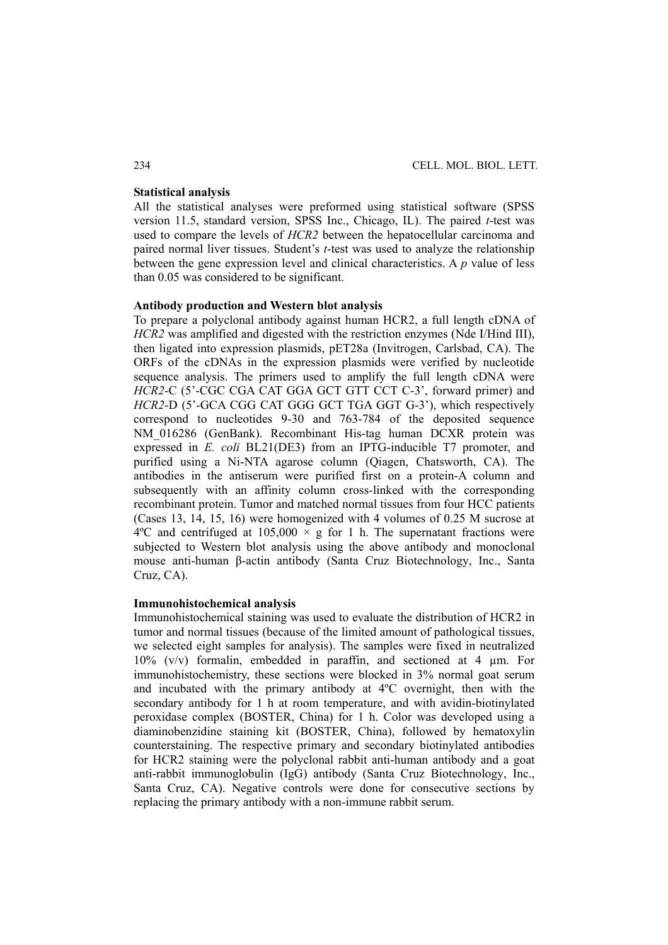## **Statistical analysis**

All the statistical analyses were preformed using statistical software (SPSS version 11.5, standard version, SPSS Inc., Chicago, IL). The paired *t*-test was used to compare the levels of *HCR2* between the hepatocellular carcinoma and paired normal liver tissues. Student's *t*-test was used to analyze the relationship between the gene expression level and clinical characteristics. A *p* value of less than 0.05 was considered to be significant.

### **Antibody production and Western blot analysis**

To prepare a polyclonal antibody against human HCR2, a full length cDNA of *HCR2* was amplified and digested with the restriction enzymes (Nde I/Hind III), then ligated into expression plasmids, pET28a (Invitrogen, Carlsbad, CA). The ORFs of the cDNAs in the expression plasmids were verified by nucleotide sequence analysis. The primers used to amplify the full length cDNA were *HCR2*-C (5'-CGC CGA CAT GGA GCT GTT CCT C-3', forward primer) and *HCR2*-D (5'-GCA CGG CAT GGG GCT TGA GGT G-3'), which respectively correspond to nucleotides 9-30 and 763-784 of the deposited sequence NM\_016286 (GenBank). Recombinant His-tag human DCXR protein was expressed in *E. coli* BL21(DE3) from an IPTG-inducible T7 promoter, and purified using a Ni-NTA agarose column (Qiagen, Chatsworth, CA). The antibodies in the antiserum were purified first on a protein-A column and subsequently with an affinity column cross-linked with the corresponding recombinant protein. Tumor and matched normal tissues from four HCC patients (Cases 13, 14, 15, 16) were homogenized with 4 volumes of 0.25 M sucrose at  $4^{\circ}$ C and centrifuged at  $105,000 \times g$  for 1 h. The supernatant fractions were subjected to Western blot analysis using the above antibody and monoclonal mouse anti-human β-actin antibody (Santa Cruz Biotechnology, Inc., Santa Cruz, CA).

#### **Immunohistochemical analysis**

Immunohistochemical staining was used to evaluate the distribution of HCR2 in tumor and normal tissues (because of the limited amount of pathological tissues, we selected eight samples for analysis). The samples were fixed in neutralized 10% (v/v) formalin, embedded in paraffin, and sectioned at 4 µm. For immunohistochemistry, these sections were blocked in 3% normal goat serum and incubated with the primary antibody at 4ºC overnight, then with the secondary antibody for 1 h at room temperature, and with avidin-biotinylated peroxidase complex (BOSTER, China) for 1 h. Color was developed using a diaminobenzidine staining kit (BOSTER, China), followed by hematoxylin counterstaining. The respective primary and secondary biotinylated antibodies for HCR2 staining were the polyclonal rabbit anti-human antibody and a goat anti-rabbit immunoglobulin (IgG) antibody (Santa Cruz Biotechnology, Inc., Santa Cruz, CA). Negative controls were done for consecutive sections by replacing the primary antibody with a non-immune rabbit serum.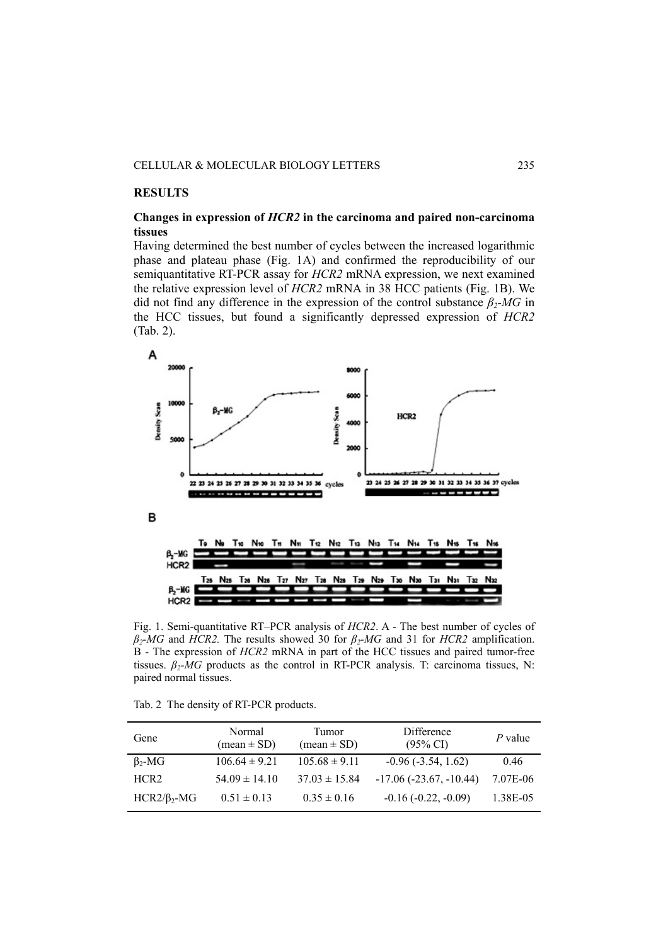# **RESULTS**

# **Changes in expression of** *HCR2* **in the carcinoma and paired non-carcinoma tissues**

Having determined the best number of cycles between the increased logarithmic phase and plateau phase (Fig. 1A) and confirmed the reproducibility of our semiquantitative RT-PCR assay for *HCR2* mRNA expression, we next examined the relative expression level of *HCR2* mRNA in 38 HCC patients (Fig. 1B). We did not find any difference in the expression of the control substance *β2-MG* in the HCC tissues, but found a significantly depressed expression of *HCR2* (Tab. 2).



Fig. 1. Semi-quantitative RT–PCR analysis of *HCR2*. A - The best number of cycles of *β2-MG* and *HCR2.* The results showed 30 for *β2-MG* and 31 for *HCR2* amplification. B - The expression of *HCR2* mRNA in part of the HCC tissues and paired tumor-free tissues.  $\beta_2$ -*MG* products as the control in RT-PCR analysis. T: carcinoma tissues, N: paired normal tissues.

Tab. 2 The density of RT-PCR products.

| Gene              | Normal<br>$mean \pm SD$ | Tumor<br>$mean \pm SD$ | Difference<br>$(95\% \text{ CI})$ | P value  |
|-------------------|-------------------------|------------------------|-----------------------------------|----------|
| $\beta_{2}$ -MG   | $106.64 \pm 9.21$       | $105.68 \pm 9.11$      | $-0.96(-3.54, 1.62)$              | 0.46     |
| HCR <sub>2</sub>  | $54.09 \pm 14.10$       | $37.03 \pm 15.84$      | $-17.06(-23.67,-10.44)$           | 7.07E-06 |
| $HCR2/\beta_2-MG$ | $0.51 \pm 0.13$         | $0.35 \pm 0.16$        | $-0.16(-0.22, -0.09)$             | 1.38E-05 |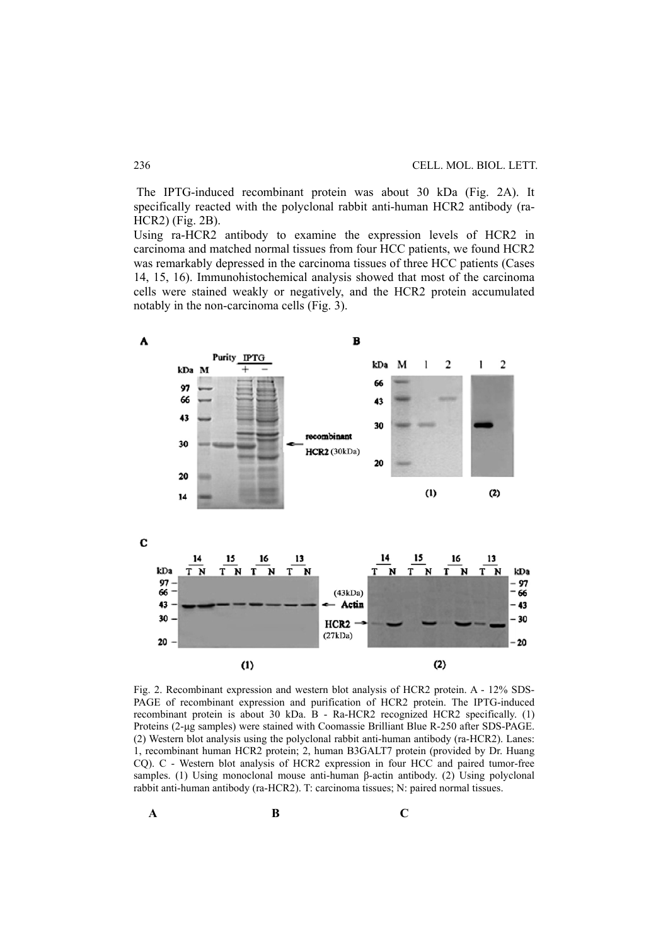The IPTG-induced recombinant protein was about 30 kDa (Fig. 2A). It specifically reacted with the polyclonal rabbit anti-human HCR2 antibody (ra-HCR2) (Fig. 2B).

Using ra-HCR2 antibody to examine the expression levels of HCR2 in carcinoma and matched normal tissues from four HCC patients, we found HCR2 was remarkably depressed in the carcinoma tissues of three HCC patients (Cases 14, 15, 16). Immunohistochemical analysis showed that most of the carcinoma cells were stained weakly or negatively, and the HCR2 protein accumulated notably in the non-carcinoma cells (Fig. 3).



Fig. 2. Recombinant expression and western blot analysis of HCR2 protein. A - 12% SDS-PAGE of recombinant expression and purification of HCR2 protein. The IPTG-induced recombinant protein is about 30 kDa. B - Ra-HCR2 recognized HCR2 specifically. (1) Proteins (2-μg samples) were stained with Coomassie Brilliant Blue R-250 after SDS-PAGE. (2) Western blot analysis using the polyclonal rabbit anti-human antibody (ra-HCR2). Lanes: 1, recombinant human HCR2 protein; 2, human B3GALT7 protein (provided by Dr. Huang CQ). C - Western blot analysis of HCR2 expression in four HCC and paired tumor-free samples. (1) Using monoclonal mouse anti-human β-actin antibody. (2) Using polyclonal rabbit anti-human antibody (ra-HCR2). T: carcinoma tissues; N: paired normal tissues.

**A** B C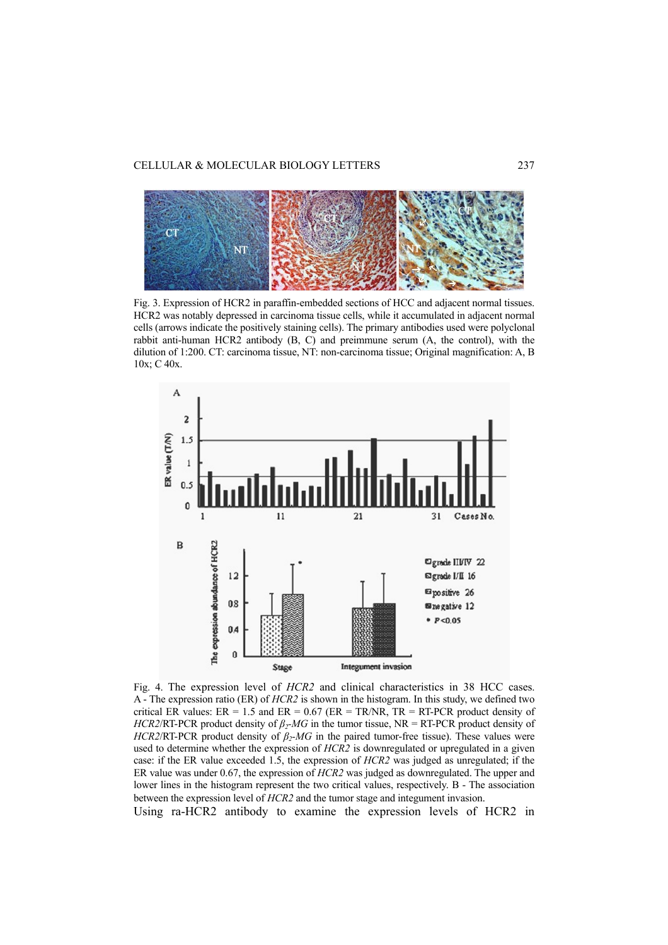

Fig. 3. Expression of HCR2 in paraffin-embedded sections of HCC and adjacent normal tissues. HCR2 was notably depressed in carcinoma tissue cells, while it accumulated in adjacent normal cells (arrows indicate the positively staining cells). The primary antibodies used were polyclonal rabbit anti-human HCR2 antibody (B, C) and preimmune serum (A, the control), with the dilution of 1:200. CT: carcinoma tissue, NT: non-carcinoma tissue; Original magnification: A, B 10x; C 40x.



Fig. 4. The expression level of *HCR2* and clinical characteristics in 38 HCC cases. A - The expression ratio (ER) of *HCR2* is shown in the histogram. In this study, we defined two critical ER values:  $ER = 1.5$  and  $ER = 0.67$  ( $ER = TR/NR$ ,  $TR = RT-PCR$  product density of *HCR2*/RT-PCR product density of *β2-MG* in the tumor tissue, NR = RT-PCR product density of *HCR2*/RT-PCR product density of  $\beta_2$ -*MG* in the paired tumor-free tissue). These values were used to determine whether the expression of *HCR2* is downregulated or upregulated in a given case: if the ER value exceeded 1.5, the expression of *HCR2* was judged as unregulated; if the ER value was under 0.67, the expression of *HCR2* was judged as downregulated. The upper and lower lines in the histogram represent the two critical values, respectively. B - The association between the expression level of *HCR2* and the tumor stage and integument invasion.

Using ra-HCR2 antibody to examine the expression levels of HCR2 in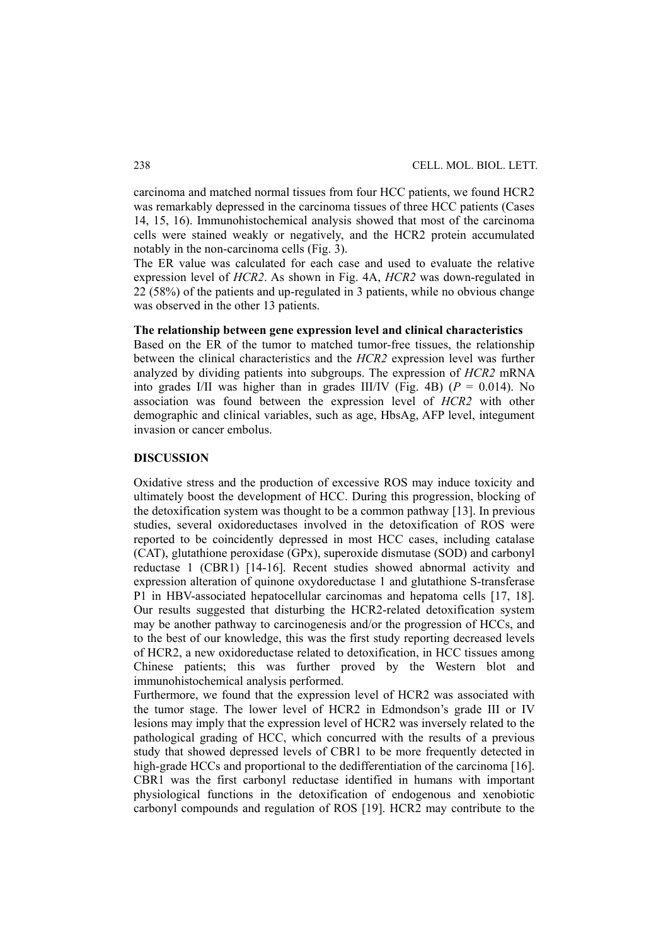carcinoma and matched normal tissues from four HCC patients, we found HCR2 was remarkably depressed in the carcinoma tissues of three HCC patients (Cases 14, 15, 16). Immunohistochemical analysis showed that most of the carcinoma cells were stained weakly or negatively, and the HCR2 protein accumulated notably in the non-carcinoma cells (Fig. 3).

The ER value was calculated for each case and used to evaluate the relative expression level of *HCR2*. As shown in Fig. 4A, *HCR2* was down-regulated in 22 (58%) of the patients and up-regulated in 3 patients, while no obvious change was observed in the other 13 patients.

#### **The relationship between gene expression level and clinical characteristics**

Based on the ER of the tumor to matched tumor-free tissues, the relationship between the clinical characteristics and the *HCR2* expression level was further analyzed by dividing patients into subgroups. The expression of *HCR2* mRNA into grades I/II was higher than in grades III/IV (Fig. 4B) ( $P = 0.014$ ). No association was found between the expression level of *HCR2* with other demographic and clinical variables, such as age, HbsAg, AFP level, integument invasion or cancer embolus.

#### **DISCUSSION**

Oxidative stress and the production of excessive ROS may induce toxicity and ultimately boost the development of HCC. During this progression, blocking of the detoxification system was thought to be a common pathway [13]. In previous studies, several oxidoreductases involved in the detoxification of ROS were reported to be coincidently depressed in most HCC cases, including catalase (CAT), glutathione peroxidase (GPx), superoxide dismutase (SOD) and carbonyl reductase 1 (CBR1) [14-16]. Recent studies showed abnormal activity and expression alteration of quinone oxydoreductase 1 and glutathione S-transferase P1 in HBV-associated hepatocellular carcinomas and hepatoma cells [17, 18]. Our results suggested that disturbing the HCR2-related detoxification system may be another pathway to carcinogenesis and/or the progression of HCCs, and to the best of our knowledge, this was the first study reporting decreased levels of HCR2, a new oxidoreductase related to detoxification, in HCC tissues among Chinese patients; this was further proved by the Western blot and immunohistochemical analysis performed.

Furthermore, we found that the expression level of HCR2 was associated with the tumor stage. The lower level of HCR2 in Edmondson's grade III or IV lesions may imply that the expression level of HCR2 was inversely related to the pathological grading of HCC, which concurred with the results of a previous study that showed depressed levels of CBR1 to be more frequently detected in high-grade HCCs and proportional to the dedifferentiation of the carcinoma [16]. CBR1 was the first carbonyl reductase identified in humans with important physiological functions in the detoxification of endogenous and xenobiotic carbonyl compounds and regulation of ROS [19]. HCR2 may contribute to the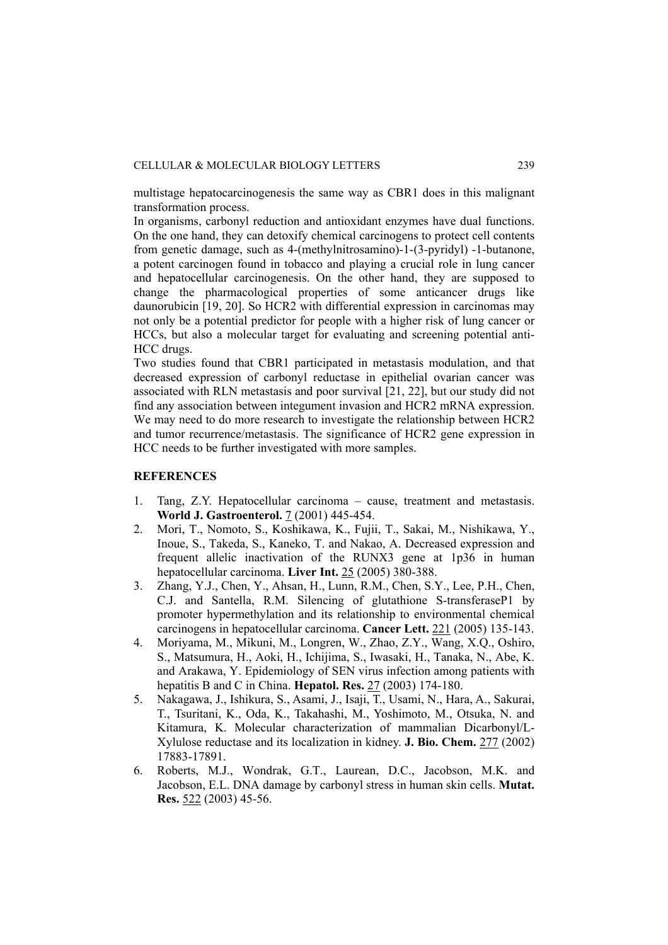multistage hepatocarcinogenesis the same way as CBR1 does in this malignant transformation process.

In organisms, carbonyl reduction and antioxidant enzymes have dual functions. On the one hand, they can detoxify chemical carcinogens to protect cell contents from genetic damage, such as 4-(methylnitrosamino)-1-(3-pyridyl) -1-butanone, a potent carcinogen found in tobacco and playing a crucial role in lung cancer and hepatocellular carcinogenesis. On the other hand, they are supposed to change the pharmacological properties of some anticancer drugs like daunorubicin [19, 20]. So HCR2 with differential expression in carcinomas may not only be a potential predictor for people with a higher risk of lung cancer or HCCs, but also a molecular target for evaluating and screening potential anti-HCC drugs.

Two studies found that CBR1 participated in metastasis modulation, and that decreased expression of carbonyl reductase in epithelial ovarian cancer was associated with RLN metastasis and poor survival [21, 22], but our study did not find any association between integument invasion and HCR2 mRNA expression. We may need to do more research to investigate the relationship between HCR2 and tumor recurrence/metastasis. The significance of HCR2 gene expression in HCC needs to be further investigated with more samples.

# **REFERENCES**

- 1. Tang, Z.Y. Hepatocellular carcinoma cause, treatment and metastasis. **World J. Gastroenterol.** 7 (2001) 445-454.
- 2. Mori, T., Nomoto, S., Koshikawa, K., Fujii, T., Sakai, M., Nishikawa, Y., Inoue, S., Takeda, S., Kaneko, T. and Nakao, A. Decreased expression and frequent allelic inactivation of the RUNX3 gene at 1p36 in human hepatocellular carcinoma. **Liver Int.** 25 (2005) 380-388.
- 3. Zhang, Y.J., Chen, Y., Ahsan, H., Lunn, R.M., Chen, S.Y., Lee, P.H., Chen, C.J. and Santella, R.M. Silencing of glutathione S-transferaseP1 by promoter hypermethylation and its relationship to environmental chemical carcinogens in hepatocellular carcinoma. **Cancer Lett.** 221 (2005) 135-143.
- 4. Moriyama, M., Mikuni, M., Longren, W., Zhao, Z.Y., Wang, X.Q., Oshiro, S., Matsumura, H., Aoki, H., Ichijima, S., Iwasaki, H., Tanaka, N., Abe, K. and Arakawa, Y. Epidemiology of SEN virus infection among patients with hepatitis B and C in China. **Hepatol. Res.** 27 (2003) 174-180.
- 5. Nakagawa, J., Ishikura, S., Asami, J., Isaji, T., Usami, N., Hara, A., Sakurai, T., Tsuritani, K., Oda, K., Takahashi, M., Yoshimoto, M., Otsuka, N. and Kitamura, K. Molecular characterization of mammalian Dicarbonyl/L-Xylulose reductase and its localization in kidney. **J. Bio. Chem.** 277 (2002) 17883-17891.
- 6. Roberts, M.J., Wondrak, G.T., Laurean, D.C., Jacobson, M.K. and Jacobson, E.L. DNA damage by carbonyl stress in human skin cells. **Mutat. Res.** 522 (2003) 45-56.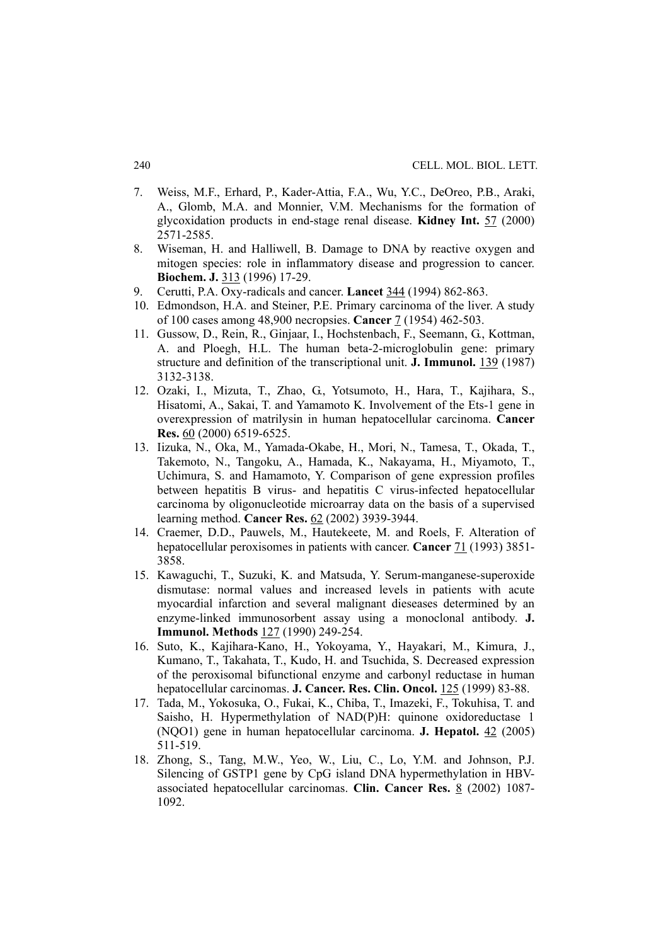- 7. Weiss, M.F., Erhard, P., Kader-Attia, F.A., Wu, Y.C., DeOreo, P.B., Araki, A., Glomb, M.A. and Monnier, V.M. Mechanisms for the formation of glycoxidation products in end-stage renal disease. **Kidney Int.** 57 (2000) 2571-2585.
- 8. Wiseman, H. and Halliwell, B. Damage to DNA by reactive oxygen and mitogen species: role in inflammatory disease and progression to cancer. **Biochem. J.** 313 (1996) 17-29.
- 9. Cerutti, P.A. Oxy-radicals and cancer. **Lancet** 344 (1994) 862-863.
- 10. Edmondson, H.A. and Steiner, P.E. Primary carcinoma of the liver. A study of 100 cases among 48,900 necropsies. **Cancer** 7 (1954) 462-503.
- 11. Gussow, D., Rein, R., Ginjaar, I., Hochstenbach, F., Seemann, G., Kottman, A. and Ploegh, H.L. The human beta-2-microglobulin gene: primary structure and definition of the transcriptional unit. **J. Immunol.** 139 (1987) 3132-3138.
- 12. Ozaki, I., Mizuta, T., Zhao, G., Yotsumoto, H., Hara, T., Kajihara, S., Hisatomi, A., Sakai, T. and Yamamoto K. Involvement of the Ets-1 gene in overexpression of matrilysin in human hepatocellular carcinoma. **Cancer Res.** 60 (2000) 6519-6525.
- 13. Iizuka, N., Oka, M., Yamada-Okabe, H., Mori, N., Tamesa, T., Okada, T., Takemoto, N., Tangoku, A., Hamada, K., Nakayama, H., Miyamoto, T., Uchimura, S. and Hamamoto, Y. Comparison of gene expression profiles between hepatitis B virus- and hepatitis C virus-infected hepatocellular carcinoma by oligonucleotide microarray data on the basis of a supervised learning method. **Cancer Res.** 62 (2002) 3939-3944.
- 14. Craemer, D.D., Pauwels, M., Hautekeete, M. and Roels, F. Alteration of hepatocellular peroxisomes in patients with cancer. **Cancer** 71 (1993) 3851- 3858.
- 15. Kawaguchi, T., Suzuki, K. and Matsuda, Y. Serum-manganese-superoxide dismutase: normal values and increased levels in patients with acute myocardial infarction and several malignant dieseases determined by an enzyme-linked immunosorbent assay using a monoclonal antibody. **J. Immunol. Methods** 127 (1990) 249-254.
- 16. Suto, K., Kajihara-Kano, H., Yokoyama, Y., Hayakari, M., Kimura, J., Kumano, T., Takahata, T., Kudo, H. and Tsuchida, S. Decreased expression of the peroxisomal bifunctional enzyme and carbonyl reductase in human hepatocellular carcinomas. **J. Cancer. Res. Clin. Oncol.** 125 (1999) 83-88.
- 17. Tada, M., Yokosuka, O., Fukai, K., Chiba, T., Imazeki, F., Tokuhisa, T. and Saisho, H. Hypermethylation of NAD(P)H: quinone oxidoreductase 1 (NQO1) gene in human hepatocellular carcinoma. **J. Hepatol.** 42 (2005) 511-519.
- 18. Zhong, S., Tang, M.W., Yeo, W., Liu, C., Lo, Y.M. and Johnson, P.J. Silencing of GSTP1 gene by CpG island DNA hypermethylation in HBVassociated hepatocellular carcinomas. **Clin. Cancer Res.** 8 (2002) 1087- 1092.